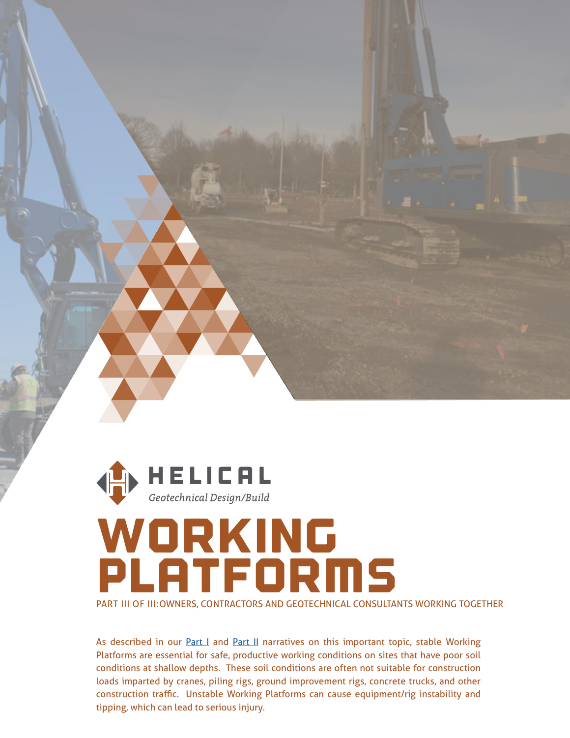

## woRKIng PlATFORMS

PART III OF III:OWNERS, CONTRACTORS AND GEOTECHNICAL CONSULTANTS WORKING TOGETHER

As described in our **Part I** and **Part II** narratives on this important topic, stable Working Platforms are essential for safe, productive working conditions on sites that have poor soil conditions at shallow depths. These soil conditions are often not suitable for construction loads imparted by cranes, piling rigs, ground improvement rigs, concrete trucks, and other construction traffic. Unstable Working Platforms can cause equipment/rig instability and tipping, which can lead to serious injury.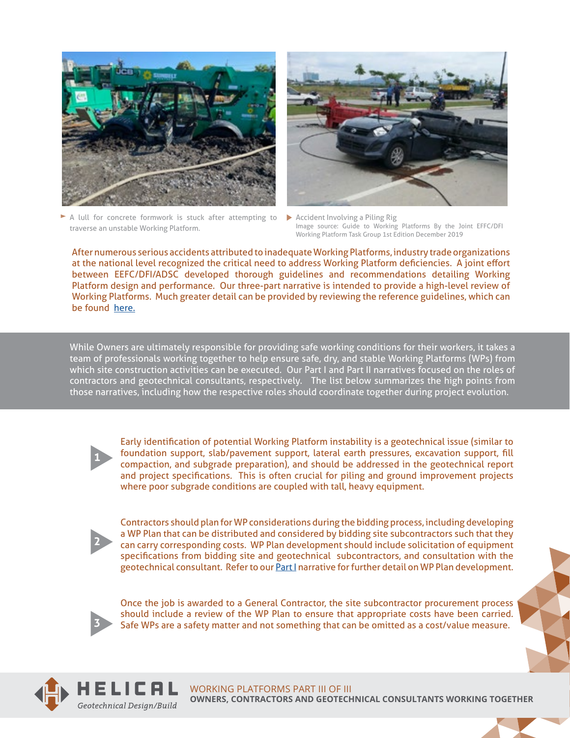





Accident Involving a Piling Rig Image source: Guide to Working Platforms By the Joint EFFC/DFI Working Platform Task Group 1st Edition December 2019

[After numerous serious accidents attributed to inadequate Working Platforms, industry trade organizations](http://www.dfi.org/commhome.asp?WPWG)  at the national level recognized the critical need to address Working Platform deficiencies. A joint effort between EEFC/DFI/ADSC developed thorough guidelines and recommendations detailing Working Platform design and performance. Our three-part narrative is intended to provide a high-level review of Working Platforms. Much greater detail can be provided by reviewing the reference guidelines, which can be found [here.](http://www.dfi.org/commhome.asp?WPWG)

While Owners are ultimately responsible for providing safe working conditions for their workers, it takes a team of professionals working together to help ensure safe, dry, and stable Working Platforms (WPs) from which site construction activities can be executed. Our Part I and Part II narratives focused on the roles of contractors and geotechnical consultants, respectively. The list below summarizes the high points from those narratives, including how the respective roles should coordinate together during project evolution.



Early identification of potential Working Platform instability is a geotechnical issue (similar to foundation support, slab/pavement support, lateral earth pressures, excavation support, fill compaction, and subgrade preparation), and should be addressed in the geotechnical report and project specifications. This is often crucial for piling and ground improvement projects where poor subgrade conditions are coupled with tall, heavy equipment.



Contractors should plan for WP considerations during the bidding process, including developing a WP Plan that can be distributed and considered by bidding site subcontractors such that they can carry corresponding costs. WP Plan development should include solicitation of equipment specifications from bidding site and geotechnical subcontractors, and consultation with the geotechnical consultant. Refer to our [Part I](https://helicaldrilling.com/wp-content/uploads/2020/10/HELICAL-Working-Platforms-Owner-GC-Part-I.pdf) narrative for further detail on WP Plan development.



Once the job is awarded to a General Contractor, the site subcontractor procurement process should include a review of the WP Plan to ensure that appropriate costs have been carried. Safe WPs are a safety matter and not something that can be omitted as a cost/value measure.



WORKING PLATFORMS PART III OF III **OWNERS, CONTRACTORS AND GEOTECHNICAL CONSULTANTS WORKING TOGETHER**